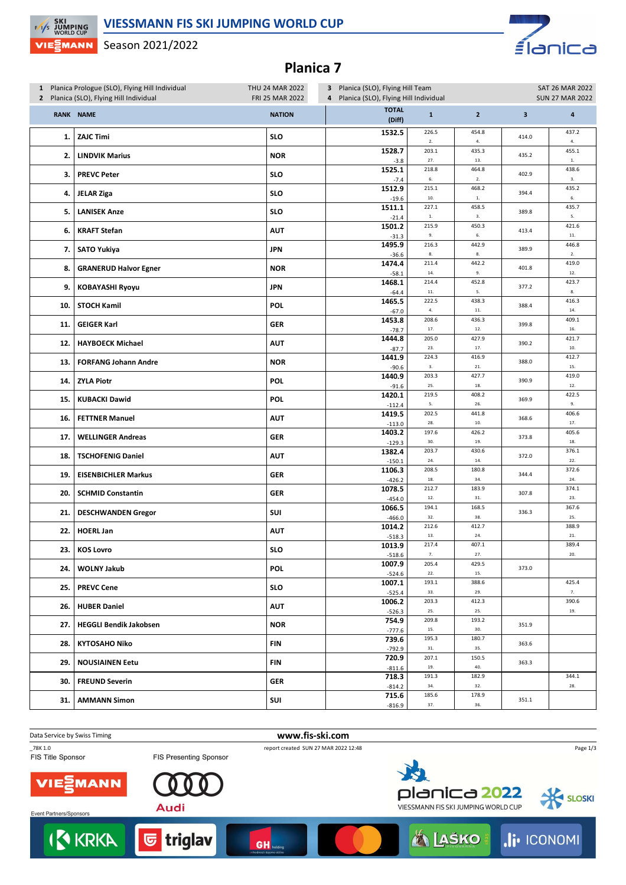#### **VIESSMANN FIS SKI JUMPING WORLD CUP**



Season 2021/2022



## **Planica 7**

| 1 Planica Prologue (SLO), Flying Hill Individual<br>2 Planica (SLO), Flying Hill Individual |                              | THU 24 MAR 2022<br><b>FRI 25 MAR 2022</b> | 3 Planica (SLO), Flying Hill Team<br>Planica (SLO), Flying Hill Individual<br>4 |                    |                     | SAT 26 MAR 2022<br><b>SUN 27 MAR 2022</b> |                         |
|---------------------------------------------------------------------------------------------|------------------------------|-------------------------------------------|---------------------------------------------------------------------------------|--------------------|---------------------|-------------------------------------------|-------------------------|
|                                                                                             | <b>RANK NAME</b>             | <b>NATION</b>                             | <b>TOTAL</b><br>(Diff)                                                          | $\mathbf 1$        | $\overline{2}$      | $\overline{\mathbf{3}}$                   | $\overline{\mathbf{4}}$ |
| 1.                                                                                          | <b>ZAJC Timi</b>             | <b>SLO</b>                                | 1532.5                                                                          | 226.5<br>2.        | 454.8<br>4.         | 414.0                                     | 437.2<br>$4. \,$        |
| 2.                                                                                          | <b>LINDVIK Marius</b>        | <b>NOR</b>                                | 1528.7<br>$-3.8$                                                                | 203.1<br>27.       | 435.3<br>13.        | 435.2                                     | 455.1<br>$1. \,$        |
| 3.                                                                                          | <b>PREVC Peter</b>           | <b>SLO</b>                                | 1525.1<br>$-7.4$                                                                | 218.8<br>6.        | 464.8<br>2.         | 402.9                                     | 438.6<br>3.             |
| 4.                                                                                          | <b>JELAR Ziga</b>            | <b>SLO</b>                                | 1512.9<br>$-19.6$                                                               | 215.1<br>10.       | 468.2<br>${\bf 1}.$ | 394.4                                     | 435.2<br>6.             |
| 5.                                                                                          | <b>LANISEK Anze</b>          | <b>SLO</b>                                | 1511.1<br>$-21.4$                                                               | 227.1<br>$1.$      | 458.5<br>3.         | 389.8                                     | 435.7<br>5.             |
| 6.                                                                                          | <b>KRAFT Stefan</b>          | <b>AUT</b>                                | 1501.2<br>$-31.3$                                                               | 215.9<br>9.        | 450.3<br>6.         | 413.4                                     | 421.6<br>$\bf 11.$      |
| 7.                                                                                          | <b>SATO Yukiya</b>           | <b>JPN</b>                                | 1495.9<br>$-36.6$                                                               | 216.3<br>8.        | 442.9<br>${\bf 8}.$ | 389.9                                     | 446.8<br>2.             |
| 8.                                                                                          | <b>GRANERUD Halvor Egner</b> | <b>NOR</b>                                | 1474.4<br>$-58.1$                                                               | 211.4<br>$\bf 14.$ | 442.2<br>9.         | 401.8                                     | 419.0<br>$12. \,$       |
| 9.                                                                                          | <b>KOBAYASHI Ryoyu</b>       | <b>JPN</b>                                | 1468.1<br>$-64.4$                                                               | 214.4<br>$\bf 11.$ | 452.8<br>5.         | 377.2                                     | 423.7<br>${\bf 8}.$     |
| 10.                                                                                         | <b>STOCH Kamil</b>           | <b>POL</b>                                | 1465.5<br>$-67.0$                                                               | 222.5<br>4.        | 438.3<br>$11. \,$   | 388.4                                     | 416.3<br>14.            |
| 11.                                                                                         | <b>GEIGER Karl</b>           | <b>GER</b>                                | 1453.8<br>$-78.7$                                                               | 208.6<br>17.       | 436.3<br>12.        | 399.8                                     | 409.1<br>16.            |
| 12.                                                                                         | <b>HAYBOECK Michael</b>      | AUT                                       | 1444.8<br>$-87.7$                                                               | 205.0<br>23.       | 427.9<br>17.        | 390.2                                     | 421.7<br>10.            |
| 13.                                                                                         | <b>FORFANG Johann Andre</b>  | <b>NOR</b>                                | 1441.9<br>$-90.6$                                                               | 224.3<br>3.        | 416.9<br>21.        | 388.0                                     | 412.7<br>15.            |
| 14.                                                                                         | <b>ZYLA Piotr</b>            | <b>POL</b>                                | 1440.9<br>$-91.6$                                                               | 203.3<br>25.       | 427.7<br>18.        | 390.9                                     | 419.0<br>$12. \,$       |
| 15.                                                                                         | <b>KUBACKI Dawid</b>         | <b>POL</b>                                | 1420.1<br>$-112.4$                                                              | 219.5<br>5.        | 408.2<br>26.        | 369.9                                     | 422.5<br>9.             |
| 16.                                                                                         | <b>FETTNER Manuel</b>        | AUT                                       | 1419.5<br>$-113.0$                                                              | 202.5<br>28.       | 441.8<br>$10.$      | 368.6                                     | 406.6<br>17.            |
| 17.                                                                                         | <b>WELLINGER Andreas</b>     | <b>GER</b>                                | 1403.2<br>$-129.3$                                                              | 197.6<br>30.       | 426.2<br>19.        | 373.8                                     | 405.6<br>18.            |
| 18.                                                                                         | <b>TSCHOFENIG Daniel</b>     | AUT                                       | 1382.4<br>$-150.1$                                                              | 203.7<br>$24.$     | 430.6<br>14.        | 372.0                                     | 376.1<br>$22.$          |
| 19.                                                                                         | <b>EISENBICHLER Markus</b>   | <b>GER</b>                                | 1106.3<br>$-426.2$                                                              | 208.5<br>18.       | 180.8<br>34.        | 344.4                                     | 372.6<br>24.            |
| 20.                                                                                         | <b>SCHMID Constantin</b>     | GER                                       | 1078.5<br>$-454.0$                                                              | 212.7<br>12.       | 183.9<br>31.        | 307.8                                     | 374.1<br>23.            |
| 21.                                                                                         | <b>DESCHWANDEN Gregor</b>    | SUI                                       | 1066.5<br>$-466.0$                                                              | 194.1<br>32.       | 168.5<br>38.        | 336.3                                     | 367.6<br>25.            |
| 22.                                                                                         | <b>HOERL Jan</b>             | AUT                                       | 1014.2<br>$-518.3$                                                              | 212.6<br>13.       | 412.7<br>24.        |                                           | 388.9<br>21.            |
| 23.1                                                                                        | <b>KOS Lovro</b>             | <b>SLO</b>                                | 1013.9<br>-518.6                                                                | 217.4<br>7.        | 407.1<br>27.        |                                           | 389.4<br>20.            |
| 24.                                                                                         | <b>WOLNY Jakub</b>           | <b>POL</b>                                | 1007.9<br>$-524.6$                                                              | 205.4<br>22.       | 429.5<br>15.        | 373.0                                     |                         |
| 25.1                                                                                        | <b>PREVC Cene</b>            | <b>SLO</b>                                | 1007.1<br>$-525.4$                                                              | 193.1<br>33.       | 388.6<br>29.        |                                           | 425.4<br>7.             |
|                                                                                             | 26.   HUBER Daniel           | <b>AUT</b>                                | 1006.2<br>$-526.3$                                                              | 203.3<br>25.       | 412.3<br>25.        |                                           | 390.6<br>19.            |
|                                                                                             | 27.   HEGGLI Bendik Jakobsen | <b>NOR</b>                                | 754.9<br>$-777.6$                                                               | 209.8<br>15.       | 193.2<br>30.        | 351.9                                     |                         |
| 28.1                                                                                        | <b>KYTOSAHO Niko</b>         | <b>FIN</b>                                | 739.6<br>$-792.9$                                                               | 195.3<br>$31. \,$  | 180.7<br>35.        | 363.6                                     |                         |
| 29.1                                                                                        | <b>NOUSIAINEN Eetu</b>       | FIN                                       | 720.9<br>$-811.6$                                                               | 207.1<br>19.       | 150.5<br>40.        | 363.3                                     |                         |
| 30.1                                                                                        | <b>FREUND Severin</b>        | GER                                       | 718.3<br>$-814.2$                                                               | 191.3<br>34.       | 182.9<br>32.        |                                           | 344.1<br>28.            |
| 31.                                                                                         | <b>AMMANN Simon</b>          | SUI                                       | 715.6<br>$-816.9$                                                               | 185.6<br>37.       | 178.9<br>36.        | 351.1                                     |                         |

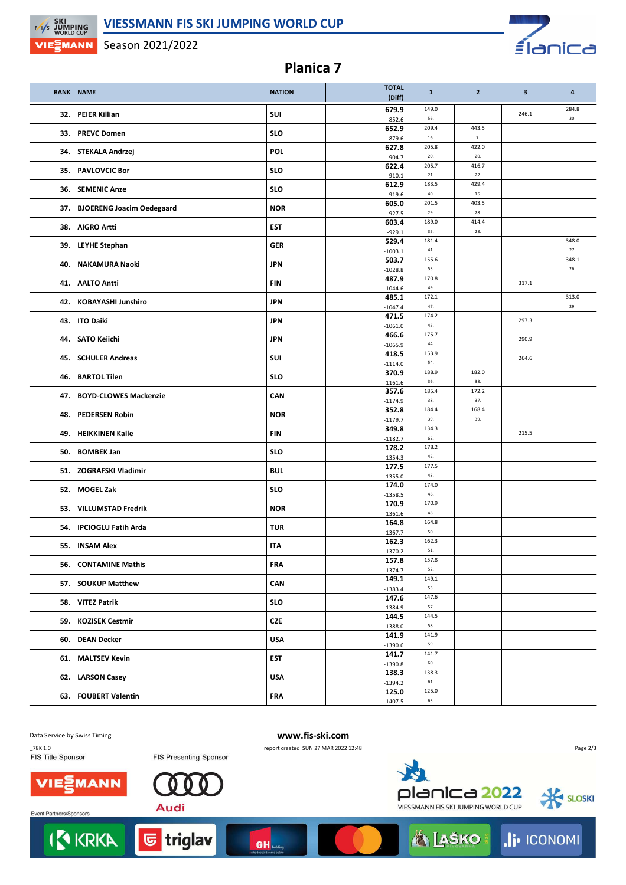#### **VIESSMANN FIS SKI JUMPING WORLD CUP**



Season 2021/2022

**F/VS SKI<br>WORLD CUP VIE MANN** 

# **Planica 7**

|     | <b>RANK NAME</b>                 | <b>NATION</b> | <b>TOTAL</b><br>(Diff) | $\mathbf{1}$         | $\overline{2}$   | $\overline{\mathbf{3}}$ | $\overline{\mathbf{a}}$ |
|-----|----------------------------------|---------------|------------------------|----------------------|------------------|-------------------------|-------------------------|
| 32. | <b>PEIER Killian</b>             | SUI           | 679.9<br>$-852.6$      | 149.0<br>56.         |                  | 246.1                   | 284.8<br>30.            |
| 33. | <b>PREVC Domen</b>               | <b>SLO</b>    | 652.9                  | 209.4                | 443.5            |                         |                         |
|     |                                  |               | $-879.6$<br>627.8      | $16.$<br>205.8       | $7. \,$<br>422.0 |                         |                         |
| 34. | STEKALA Andrzej                  | <b>POL</b>    | $-904.7$               | 20.                  | 20.              |                         |                         |
| 35. | <b>PAVLOVCIC Bor</b>             | <b>SLO</b>    | 622.4<br>$-910.1$      | 205.7<br>${\bf 21}.$ | 416.7<br>22.     |                         |                         |
| 36. | <b>SEMENIC Anze</b>              | <b>SLO</b>    | 612.9<br>$-919.6$      | 183.5<br>40.         | 429.4<br>16.     |                         |                         |
| 37. | <b>BJOERENG Joacim Oedegaard</b> | <b>NOR</b>    | 605.0<br>$-927.5$      | 201.5<br>29.         | 403.5<br>28.     |                         |                         |
| 38. | <b>AIGRO Artti</b>               | <b>EST</b>    | 603.4<br>$-929.1$      | 189.0<br>35.         | 414.4<br>23.     |                         |                         |
| 39. | <b>LEYHE Stephan</b>             | <b>GER</b>    | 529.4<br>$-1003.1$     | 181.4<br>41.         |                  |                         | 348.0<br>27.            |
| 40. | <b>NAKAMURA Naoki</b>            | <b>JPN</b>    | 503.7                  | 155.6<br>53.         |                  |                         | 348.1<br>26.            |
| 41. | <b>AALTO Antti</b>               | <b>FIN</b>    | $-1028.8$<br>487.9     | 170.8                |                  | 317.1                   |                         |
|     |                                  |               | $-1044.6$<br>485.1     | 49.<br>172.1         |                  |                         | 313.0                   |
| 42. | <b>KOBAYASHI Junshiro</b>        | <b>JPN</b>    | $-1047.4$              | 47.                  |                  |                         | 29.                     |
| 43. | <b>ITO Daiki</b>                 | <b>JPN</b>    | 471.5<br>$-1061.0$     | 174.2<br>45.         |                  | 297.3                   |                         |
| 44. | <b>SATO Keiichi</b>              | <b>JPN</b>    | 466.6                  | 175.7                |                  | 290.9                   |                         |
|     |                                  |               | $-1065.9$<br>418.5     | 44.<br>153.9         |                  |                         |                         |
| 45. | <b>SCHULER Andreas</b>           | SUI           | $-1114.0$              | 54.                  |                  | 264.6                   |                         |
| 46. | <b>BARTOL Tilen</b>              | <b>SLO</b>    | 370.9<br>$-1161.6$     | 188.9<br>36.         | 182.0<br>33.     |                         |                         |
| 47. | <b>BOYD-CLOWES Mackenzie</b>     | CAN           | 357.6<br>$-1174.9$     | 185.4<br>38.         | 172.2<br>37.     |                         |                         |
| 48. | <b>PEDERSEN Robin</b>            | <b>NOR</b>    | 352.8<br>$-1179.7$     | 184.4<br>39.         | 168.4<br>39.     |                         |                         |
| 49. | <b>HEIKKINEN Kalle</b>           | <b>FIN</b>    | 349.8<br>$-1182.7$     | 134.3<br>62.         |                  | 215.5                   |                         |
| 50. | <b>BOMBEK Jan</b>                | <b>SLO</b>    | 178.2<br>$-1354.3$     | 178.2<br>42.         |                  |                         |                         |
| 51. | <b>ZOGRAFSKI Vladimir</b>        | <b>BUL</b>    | 177.5<br>$-1355.0$     | 177.5<br>43.         |                  |                         |                         |
| 52. | <b>MOGEL Zak</b>                 | <b>SLO</b>    | 174.0                  | 174.0                |                  |                         |                         |
|     | <b>VILLUMSTAD Fredrik</b>        | <b>NOR</b>    | $-1358.5$<br>170.9     | 46.<br>170.9         |                  |                         |                         |
| 53. |                                  |               | $-1361.6$              | 48.<br>164.8         |                  |                         |                         |
| 54. | <b>IPCIOGLU Fatih Arda</b>       | <b>TUR</b>    | 164.8<br>$-1367.7$     | 50.                  |                  |                         |                         |
| 55. | <b>INSAM Alex</b>                | <b>ITA</b>    | 162.3<br>$-1370.2$     | 162.3<br>51.         |                  |                         |                         |
| 56. | <b>CONTAMINE Mathis</b>          | <b>FRA</b>    | 157.8<br>$-1374.7$     | 157.8<br>52.         |                  |                         |                         |
| 57. | <b>SOUKUP Matthew</b>            | CAN           | 149.1<br>$-1383.4$     | 149.1<br>55.         |                  |                         |                         |
| 58. | <b>VITEZ Patrik</b>              | <b>SLO</b>    | 147.6<br>$-1384.9$     | 147.6<br>57.         |                  |                         |                         |
| 59. | <b>KOZISEK Cestmir</b>           | <b>CZE</b>    | 144.5<br>$-1388.0$     | 144.5<br>58.         |                  |                         |                         |
| 60. | <b>DEAN Decker</b>               | <b>USA</b>    | 141.9                  | 141.9<br>59.         |                  |                         |                         |
| 61. | <b>MALTSEV Kevin</b>             | <b>EST</b>    | $-1390.6$<br>141.7     | 141.7                |                  |                         |                         |
|     |                                  |               | $-1390.8$              | 60.<br>138.3         |                  |                         |                         |
| 62. | <b>LARSON Casey</b>              | <b>USA</b>    | 138.3<br>$-1394.2$     | 61.                  |                  |                         |                         |
| 63. | <b>FOUBERT Valentin</b>          | <b>FRA</b>    | 125.0<br>$-1407.5$     | 125.0<br>63.         |                  |                         |                         |